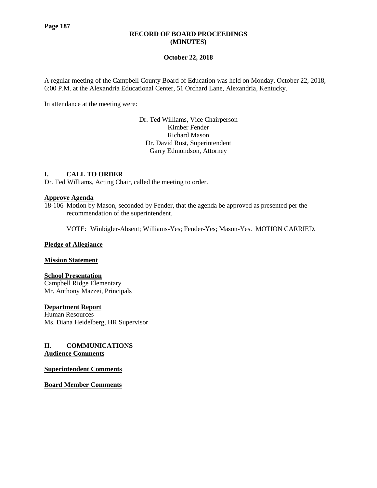### **RECORD OF BOARD PROCEEDINGS (MINUTES)**

### **October 22, 2018**

A regular meeting of the Campbell County Board of Education was held on Monday, October 22, 2018, 6:00 P.M. at the Alexandria Educational Center, 51 Orchard Lane, Alexandria, Kentucky.

In attendance at the meeting were:

Dr. Ted Williams, Vice Chairperson Kimber Fender Richard Mason Dr. David Rust, Superintendent Garry Edmondson, Attorney

### **I. CALL TO ORDER**

Dr. Ted Williams, Acting Chair, called the meeting to order.

### **Approve Agenda**

18-106 Motion by Mason, seconded by Fender, that the agenda be approved as presented per the recommendation of the superintendent.

VOTE: Winbigler-Absent; Williams-Yes; Fender-Yes; Mason-Yes. MOTION CARRIED.

#### **Pledge of Allegiance**

#### **Mission Statement**

### **School Presentation**

Campbell Ridge Elementary Mr. Anthony Mazzei, Principals

#### **Department Report**

Human Resources Ms. Diana Heidelberg, HR Supervisor

### **II. COMMUNICATIONS Audience Comments**

**Superintendent Comments**

**Board Member Comments**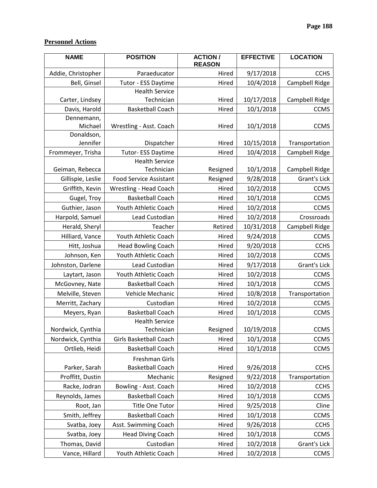# **Personnel Actions**

| <b>NAME</b>            | <b>POSITION</b><br><b>ACTION/</b><br><b>REASON</b> |                       | <b>EFFECTIVE</b> | <b>LOCATION</b> |
|------------------------|----------------------------------------------------|-----------------------|------------------|-----------------|
| Addie, Christopher     | Paraeducator                                       | 9/17/2018<br>Hired    |                  | <b>CCHS</b>     |
| Bell, Ginsel           | Tutor - ESS Daytime<br>Hired                       |                       | 10/4/2018        | Campbell Ridge  |
| Carter, Lindsey        | <b>Health Service</b><br>Technician                | Hired                 | 10/17/2018       | Campbell Ridge  |
| Davis, Harold          | <b>Basketball Coach</b>                            | Hired                 | 10/1/2018        | <b>CCMS</b>     |
| Dennemann,<br>Michael  | Wrestling - Asst. Coach                            | Hired                 | 10/1/2018        | <b>CCMS</b>     |
| Donaldson,<br>Jennifer | Dispatcher                                         | Hired                 | 10/15/2018       | Transportation  |
| Frommeyer, Trisha      | Tutor- ESS Daytime                                 | Hired                 | 10/4/2018        | Campbell Ridge  |
| Geiman, Rebecca        | <b>Health Service</b><br>Technician                | 10/1/2018<br>Resigned |                  | Campbell Ridge  |
| Gillispie, Leslie      | <b>Food Service Assistant</b>                      | Resigned              | 9/28/2018        | Grant's Lick    |
| Griffith, Kevin        | Wrestling - Head Coach                             | Hired                 | 10/2/2018        | <b>CCMS</b>     |
| Gugel, Troy            | <b>Basketball Coach</b>                            | Hired                 | 10/1/2018        | <b>CCMS</b>     |
| Guthier, Jason         | Youth Athletic Coach                               | Hired                 | 10/2/2018        | <b>CCMS</b>     |
| Harpold, Samuel        | Lead Custodian                                     | Hired                 | 10/2/2018        | Crossroads      |
| Herald, Sheryl         | Teacher                                            | Retired               | 10/31/2018       | Campbell Ridge  |
| Hilliard, Vance        | Youth Athletic Coach                               | Hired                 | 9/24/2018        | <b>CCMS</b>     |
| Hitt, Joshua           | <b>Head Bowling Coach</b>                          | Hired                 | 9/20/2018        | <b>CCHS</b>     |
| Johnson, Ken           | Youth Athletic Coach                               | Hired                 | 10/2/2018        | <b>CCMS</b>     |
| Johnston, Darlene      | Lead Custodian                                     | Hired                 | 9/17/2018        | Grant's Lick    |
| Laytart, Jason         | Youth Athletic Coach                               | Hired                 | 10/2/2018        | <b>CCMS</b>     |
| McGovney, Nate         | <b>Basketball Coach</b>                            | Hired                 | 10/1/2018        | <b>CCMS</b>     |
| Melville, Steven       | Vehicle Mechanic                                   | Hired                 | 10/8/2018        | Transportation  |
| Merritt, Zachary       | Custodian                                          | 10/2/2018<br>Hired    |                  | <b>CCMS</b>     |
| Meyers, Ryan           | <b>Basketball Coach</b>                            | Hired                 | 10/1/2018        | <b>CCMS</b>     |
| Nordwick, Cynthia      | <b>Health Service</b><br>Resigned<br>Technician    |                       | 10/19/2018       | <b>CCMS</b>     |
| Nordwick, Cynthia      | Girls Basketball Coach                             | Hired                 | 10/1/2018        | <b>CCMS</b>     |
| Ortlieb, Heidi         | <b>Basketball Coach</b>                            | Hired                 | 10/1/2018        | <b>CCMS</b>     |
| Parker, Sarah          | Freshman Girls<br><b>Basketball Coach</b>          | Hired                 | 9/26/2018        | <b>CCHS</b>     |
| Proffitt, Dustin       | Mechanic                                           | Resigned              | 9/22/2018        | Transportation  |
| Racke, Jodran          | Bowling - Asst. Coach                              | Hired                 | 10/2/2018        | <b>CCHS</b>     |
| Reynolds, James        | <b>Basketball Coach</b><br>Hired                   |                       | 10/1/2018        | <b>CCMS</b>     |
| Root, Jan              | <b>Title One Tutor</b><br>Hired                    |                       | 9/25/2018        | Cline           |
| Smith, Jeffrey         | <b>Basketball Coach</b>                            | Hired                 | 10/1/2018        | <b>CCMS</b>     |
| Svatba, Joey           | Asst. Swimming Coach<br>Hired                      |                       | 9/26/2018        | <b>CCHS</b>     |
| Svatba, Joey           | <b>Head Diving Coach</b>                           | Hired                 | 10/1/2018        | <b>CCMS</b>     |
| Thomas, David          | Custodian                                          | Hired                 | 10/2/2018        | Grant's Lick    |
| Vance, Hillard         | Youth Athletic Coach                               | Hired                 | 10/2/2018        | <b>CCMS</b>     |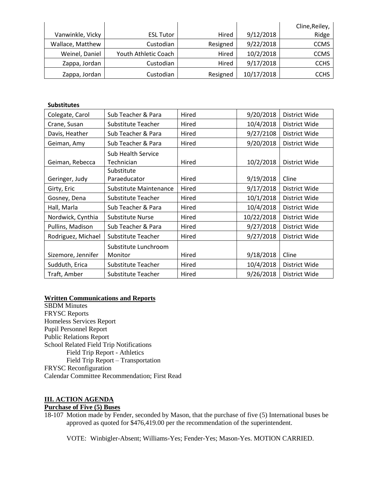|                  |                      |          |            | Cline, Reiley, |
|------------------|----------------------|----------|------------|----------------|
| Vanwinkle, Vicky | <b>ESL Tutor</b>     | Hired    | 9/12/2018  | Ridge          |
| Wallace, Matthew | Custodian            | Resigned | 9/22/2018  | <b>CCMS</b>    |
| Weinel, Daniel   | Youth Athletic Coach | Hired    | 10/2/2018  | <b>CCMS</b>    |
| Zappa, Jordan    | Custodian            | Hired    | 9/17/2018  | <b>CCHS</b>    |
| Zappa, Jordan    | Custodian            | Resigned | 10/17/2018 | <b>CCHS</b>    |

### **Substitutes**

| Colegate, Carol    | Hired<br>Sub Teacher & Para      |                    | 9/20/2018  | District Wide |
|--------------------|----------------------------------|--------------------|------------|---------------|
| Crane, Susan       | Substitute Teacher               | Hired              | 10/4/2018  | District Wide |
| Davis, Heather     | Sub Teacher & Para               | Hired              | 9/27/2108  | District Wide |
| Geiman, Amy        | Sub Teacher & Para               | Hired              | 9/20/2018  | District Wide |
| Geiman, Rebecca    | Sub Health Service<br>Technician | Hired              | 10/2/2018  | District Wide |
| Geringer, Judy     | Substitute<br>Paraeducator       | Hired              | 9/19/2018  | Cline         |
| Girty, Eric        | <b>Substitute Maintenance</b>    | Hired              | 9/17/2018  | District Wide |
| Gosney, Dena       | Substitute Teacher               | Hired              | 10/1/2018  | District Wide |
| Hall, Marla        | Sub Teacher & Para               | Hired              | 10/4/2018  | District Wide |
| Nordwick, Cynthia  | Substitute Nurse                 | Hired              | 10/22/2018 | District Wide |
| Pullins, Madison   | Sub Teacher & Para               | Hired              | 9/27/2018  | District Wide |
| Rodriguez, Michael | Substitute Teacher               | Hired              | 9/27/2018  | District Wide |
| Sizemore, Jennifer | Substitute Lunchroom<br>Monitor  | Hired              | 9/18/2018  | Cline         |
| Sudduth, Erica     | Substitute Teacher               | 10/4/2018<br>Hired |            | District Wide |
| Traft, Amber       | Substitute Teacher               | Hired              | 9/26/2018  | District Wide |

## **Written Communications and Reports**

SBDM Minutes FRYSC Reports Homeless Services Report Pupil Personnel Report Public Relations Report School Related Field Trip Notifications Field Trip Report - Athletics Field Trip Report – Transportation FRYSC Reconfiguration Calendar Committee Recommendation; First Read

## **III. ACTION AGENDA**

# **Purchase of Five (5) Buses**

18-107 Motion made by Fender, seconded by Mason, that the purchase of five (5) International buses be approved as quoted for \$476,419.00 per the recommendation of the superintendent.

VOTE: Winbigler-Absent; Williams-Yes; Fender-Yes; Mason-Yes. MOTION CARRIED.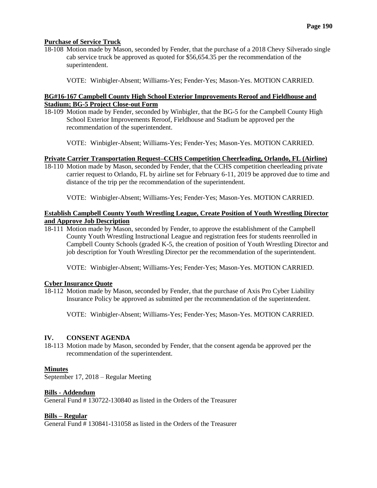### **Purchase of Service Truck**

18-108 Motion made by Mason, seconded by Fender, that the purchase of a 2018 Chevy Silverado single cab service truck be approved as quoted for \$56,654.35 per the recommendation of the superintendent.

VOTE: Winbigler-Absent; Williams-Yes; Fender-Yes; Mason-Yes. MOTION CARRIED.

### **BG#16-167 Campbell County High School Exterior Improvements Reroof and Fieldhouse and Stadium; BG-5 Project Close-out Form**

18-109 Motion made by Fender, seconded by Winbigler, that the BG-5 for the Campbell County High School Exterior Improvements Reroof, Fieldhouse and Stadium be approved per the recommendation of the superintendent.

VOTE: Winbigler-Absent; Williams-Yes; Fender-Yes; Mason-Yes. MOTION CARRIED.

### **Private Carrier Transportation Request–CCHS Competition Cheerleading, Orlando, FL (Airline)**

18-110 Motion made by Mason, seconded by Fender, that the CCHS competition cheerleading private carrier request to Orlando, FL by airline set for February 6-11, 2019 be approved due to time and distance of the trip per the recommendation of the superintendent.

VOTE: Winbigler-Absent; Williams-Yes; Fender-Yes; Mason-Yes. MOTION CARRIED.

### **Establish Campbell County Youth Wrestling League, Create Position of Youth Wrestling Director and Approve Job Description**

18-111 Motion made by Mason, seconded by Fender, to approve the establishment of the Campbell County Youth Wrestling Instructional League and registration fees for students reenrolled in Campbell County Schools (graded K-5, the creation of position of Youth Wrestling Director and job description for Youth Wrestling Director per the recommendation of the superintendent.

VOTE: Winbigler-Absent; Williams-Yes; Fender-Yes; Mason-Yes. MOTION CARRIED.

#### **Cyber Insurance Quote**

18-112 Motion made by Mason, seconded by Fender, that the purchase of Axis Pro Cyber Liability Insurance Policy be approved as submitted per the recommendation of the superintendent.

VOTE: Winbigler-Absent; Williams-Yes; Fender-Yes; Mason-Yes. MOTION CARRIED.

#### **IV. CONSENT AGENDA**

18-113 Motion made by Mason, seconded by Fender, that the consent agenda be approved per the recommendation of the superintendent.

### **Minutes**

September 17, 2018 – Regular Meeting

#### **Bills - Addendum**

General Fund # 130722-130840 as listed in the Orders of the Treasurer

#### **Bills – Regular**

General Fund # 130841-131058 as listed in the Orders of the Treasurer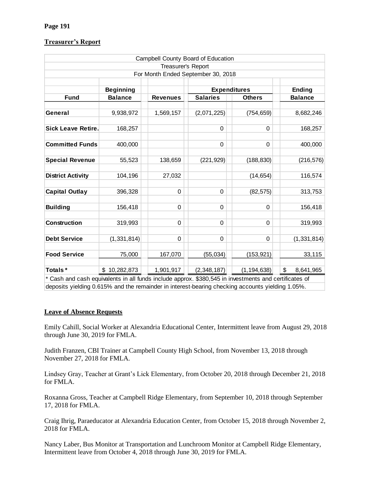### **Treasurer's Report**

|                                                                     |                  |                    | Campbell County Board of Education |                                                                     |                 |
|---------------------------------------------------------------------|------------------|--------------------|------------------------------------|---------------------------------------------------------------------|-----------------|
|                                                                     |                  | Treasurer's Report |                                    |                                                                     |                 |
|                                                                     |                  |                    | For Month Ended September 30, 2018 |                                                                     |                 |
|                                                                     |                  |                    |                                    |                                                                     |                 |
|                                                                     | <b>Beginning</b> |                    | <b>Expenditures</b>                |                                                                     | <b>Ending</b>   |
| <b>Fund</b>                                                         | <b>Balance</b>   | <b>Revenues</b>    | <b>Salaries</b>                    | <b>Others</b>                                                       | <b>Balance</b>  |
|                                                                     |                  |                    |                                    |                                                                     |                 |
| General                                                             | 9,938,972        | 1,569,157          | (2,071,225)                        | (754, 659)                                                          | 8,682,246       |
|                                                                     |                  |                    |                                    |                                                                     |                 |
| <b>Sick Leave Retire.</b>                                           | 168,257          |                    | 0                                  | $\mathbf 0$                                                         | 168,257         |
|                                                                     |                  |                    |                                    |                                                                     |                 |
| <b>Committed Funds</b>                                              | 400,000          |                    | 0                                  | $\mathbf 0$                                                         | 400,000         |
| <b>Special Revenue</b>                                              | 55,523           | 138,659            | (221, 929)                         | (188, 830)                                                          | (216, 576)      |
|                                                                     |                  |                    |                                    |                                                                     |                 |
| <b>District Activity</b>                                            | 104,196          | 27,032             |                                    | (14, 654)                                                           | 116,574         |
|                                                                     |                  |                    |                                    |                                                                     |                 |
| <b>Capital Outlay</b>                                               | 396,328          | $\mathbf 0$        | 0                                  | (82, 575)                                                           | 313,753         |
|                                                                     |                  |                    |                                    |                                                                     |                 |
| <b>Building</b>                                                     | 156,418          | 0                  | 0                                  | $\mathbf 0$                                                         | 156,418         |
|                                                                     |                  |                    |                                    |                                                                     |                 |
| <b>Construction</b>                                                 | 319,993          | 0                  | $\Omega$                           | $\Omega$                                                            | 319,993         |
| <b>Debt Service</b>                                                 | (1, 331, 814)    | 0                  | 0                                  | $\mathbf 0$                                                         | (1, 331, 814)   |
|                                                                     |                  |                    |                                    |                                                                     |                 |
| <b>Food Service</b>                                                 | 75,000           | 167,070            | (55, 034)                          | (153, 921)                                                          | 33,115          |
|                                                                     |                  |                    |                                    |                                                                     |                 |
| Totals*<br>* Cook and sook squirplants in all funds include approve | \$10,282,873     | 1,901,917          | (2,348,187)                        | (1, 194, 638)<br><b>COOO EAE</b> in invootmente and certificates of | \$<br>8,641,965 |

Cash and cash equivalents in all funds include approx. \$380,545 in investments and certificates of deposits yielding 0.615% and the remainder in interest-bearing checking accounts yielding 1.05%.

### **Leave of Absence Requests**

Emily Cahill, Social Worker at Alexandria Educational Center, Intermittent leave from August 29, 2018 through June 30, 2019 for FMLA.

Judith Franzen, CBI Trainer at Campbell County High School, from November 13, 2018 through November 27, 2018 for FMLA.

Lindsey Gray, Teacher at Grant's Lick Elementary, from October 20, 2018 through December 21, 2018 for FMLA.

Roxanna Gross, Teacher at Campbell Ridge Elementary, from September 10, 2018 through September 17, 2018 for FMLA.

Craig Ihrig, Paraeducator at Alexandria Education Center, from October 15, 2018 through November 2, 2018 for FMLA.

Nancy Laber, Bus Monitor at Transportation and Lunchroom Monitor at Campbell Ridge Elementary, Intermittent leave from October 4, 2018 through June 30, 2019 for FMLA.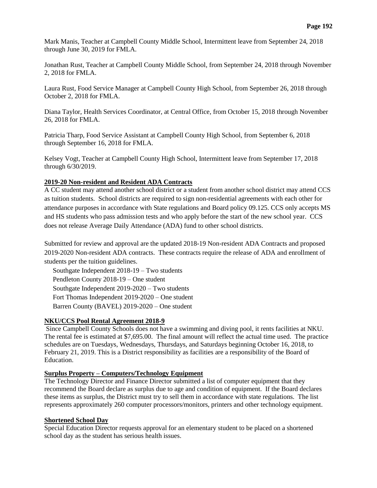Mark Manis, Teacher at Campbell County Middle School, Intermittent leave from September 24, 2018 through June 30, 2019 for FMLA.

Jonathan Rust, Teacher at Campbell County Middle School, from September 24, 2018 through November 2, 2018 for FMLA.

Laura Rust, Food Service Manager at Campbell County High School, from September 26, 2018 through October 2, 2018 for FMLA.

Diana Taylor, Health Services Coordinator, at Central Office, from October 15, 2018 through November 26, 2018 for FMLA.

Patricia Tharp, Food Service Assistant at Campbell County High School, from September 6, 2018 through September 16, 2018 for FMLA.

Kelsey Vogt, Teacher at Campbell County High School, Intermittent leave from September 17, 2018 through 6/30/2019.

#### **2019-20 Non-resident and Resident ADA Contracts**

A CC student may attend another school district or a student from another school district may attend CCS as tuition students. School districts are required to sign non-residential agreements with each other for attendance purposes in accordance with State regulations and Board policy 09.125. CCS only accepts MS and HS students who pass admission tests and who apply before the start of the new school year. CCS does not release Average Daily Attendance (ADA) fund to other school districts.

Submitted for review and approval are the updated 2018-19 Non-resident ADA Contracts and proposed 2019-2020 Non-resident ADA contracts. These contracts require the release of ADA and enrollment of students per the tuition guidelines.

 Southgate Independent 2018-19 – Two students Pendleton County 2018-19 – One student Southgate Independent 2019-2020 – Two students Fort Thomas Independent 2019-2020 – One student Barren County (BAVEL) 2019-2020 – One student

## **NKU/CCS Pool Rental Agreement 2018-9**

Since Campbell County Schools does not have a swimming and diving pool, it rents facilities at NKU. The rental fee is estimated at \$7,695.00. The final amount will reflect the actual time used. The practice schedules are on Tuesdays, Wednesdays, Thursdays, and Saturdays beginning October 16, 2018, to February 21, 2019. This is a District responsibility as facilities are a responsibility of the Board of Education.

### **Surplus Property – Computers/Technology Equipment**

The Technology Director and Finance Director submitted a list of computer equipment that they recommend the Board declare as surplus due to age and condition of equipment. If the Board declares these items as surplus, the District must try to sell them in accordance with state regulations. The list represents approximately 260 computer processors/monitors, printers and other technology equipment.

### **Shortened School Day**

Special Education Director requests approval for an elementary student to be placed on a shortened school day as the student has serious health issues.